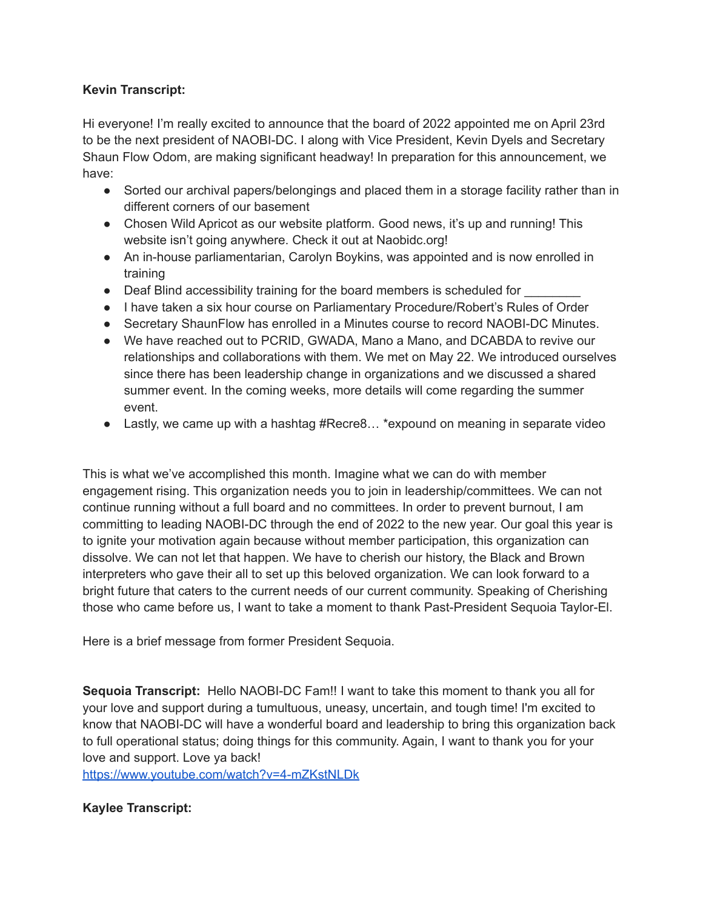## **Kevin Transcript:**

Hi everyone! I'm really excited to announce that the board of 2022 appointed me on April 23rd to be the next president of NAOBI-DC. I along with Vice President, Kevin Dyels and Secretary Shaun Flow Odom, are making significant headway! In preparation for this announcement, we have:

- Sorted our archival papers/belongings and placed them in a storage facility rather than in different corners of our basement
- Chosen Wild Apricot as our website platform. Good news, it's up and running! This website isn't going anywhere. Check it out at Naobidc.org!
- An in-house parliamentarian, Carolyn Boykins, was appointed and is now enrolled in training
- Deaf Blind accessibility training for the board members is scheduled for
- I have taken a six hour course on Parliamentary Procedure/Robert's Rules of Order
- Secretary ShaunFlow has enrolled in a Minutes course to record NAOBI-DC Minutes.
- We have reached out to PCRID, GWADA, Mano a Mano, and DCABDA to revive our relationships and collaborations with them. We met on May 22. We introduced ourselves since there has been leadership change in organizations and we discussed a shared summer event. In the coming weeks, more details will come regarding the summer event.
- Lastly, we came up with a hashtag #Recre8... \*expound on meaning in separate video

This is what we've accomplished this month. Imagine what we can do with member engagement rising. This organization needs you to join in leadership/committees. We can not continue running without a full board and no committees. In order to prevent burnout, I am committing to leading NAOBI-DC through the end of 2022 to the new year. Our goal this year is to ignite your motivation again because without member participation, this organization can dissolve. We can not let that happen. We have to cherish our history, the Black and Brown interpreters who gave their all to set up this beloved organization. We can look forward to a bright future that caters to the current needs of our current community. Speaking of Cherishing those who came before us, I want to take a moment to thank Past-President Sequoia Taylor-El.

Here is a brief message from former President Sequoia.

**Sequoia Transcript:** Hello NAOBI-DC Fam!! I want to take this moment to thank you all for your love and support during a tumultuous, uneasy, uncertain, and tough time! I'm excited to know that NAOBI-DC will have a wonderful board and leadership to bring this organization back to full operational status; doing things for this community. Again, I want to thank you for your love and support. Love ya back!

<https://www.youtube.com/watch?v=4-mZKstNLDk>

## **Kaylee Transcript:**